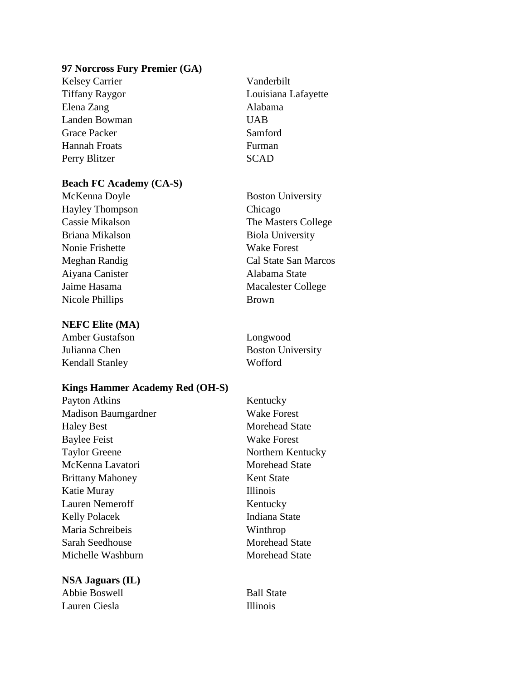### **97 Norcross Fury Premier (GA)**

Kelsey Carrier Vanderbilt Elena Zang Alabama Landen Bowman UAB Grace Packer Samford Hannah Froats Furman Perry Blitzer SCAD

# **Beach FC Academy (CA-S)**

Hayley Thompson Chicago Briana Mikalson Biola University Nonie Frishette Wake Forest Aiyana Canister Alabama State Nicole Phillips Brown

# **NEFC Elite (MA)**

Amber Gustafson Longwood Julianna Chen Boston University Kendall Stanley Wofford

# **Kings Hammer Academy Red (OH-S)**

Payton Atkins Kentucky Madison Baumgardner Wake Forest Haley Best Morehead State Baylee Feist Wake Forest Taylor Greene Northern Kentucky McKenna Lavatori Morehead State Brittany Mahoney Kent State Katie Muray Illinois Lauren Nemeroff Kentucky Kelly Polacek Indiana State Maria Schreibeis Winthrop Sarah Seedhouse Morehead State Michelle Washburn Morehead State

**NSA Jaguars (IL)** Abbie Boswell Ball State Lauren Ciesla **Illinois** 

Tiffany Raygor Louisiana Lafayette

McKenna Doyle Boston University Cassie Mikalson The Masters College Meghan Randig Cal State San Marcos Jaime Hasama Macalester College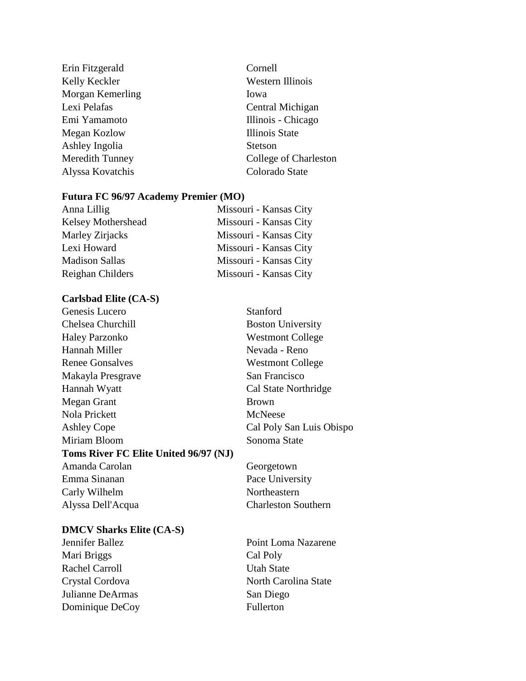| Erin Fitzgerald        | Cornell               |
|------------------------|-----------------------|
| Kelly Keckler          | Western Illinois      |
| Morgan Kemerling       | Iowa                  |
| Lexi Pelafas           | Central Michigan      |
| Emi Yamamoto           | Illinois - Chicago    |
| Megan Kozlow           | Illinois State        |
| Ashley Ingolia         | <b>Stetson</b>        |
| <b>Meredith Tunney</b> | College of Charleston |
| Alyssa Kovatchis       | Colorado State        |
|                        |                       |

# **Futura FC 96/97 Academy Premier (MO)**

| Anna Lillig           | Missouri - Kansas City |
|-----------------------|------------------------|
| Kelsey Mothershead    | Missouri - Kansas City |
| Marley Zirjacks       | Missouri - Kansas City |
| Lexi Howard           | Missouri - Kansas City |
| <b>Madison Sallas</b> | Missouri - Kansas City |
| Reighan Childers      | Missouri - Kansas City |

## **Carlsbad Elite (CA-S)**

| Genesis Lucero                        | Stanford                   |
|---------------------------------------|----------------------------|
| Chelsea Churchill                     | <b>Boston University</b>   |
| <b>Haley Parzonko</b>                 | <b>Westmont College</b>    |
| Hannah Miller                         | Nevada - Reno              |
| <b>Renee Gonsalves</b>                | <b>Westmont College</b>    |
| Makayla Presgrave                     | San Francisco              |
| Hannah Wyatt                          | Cal State Northridge       |
| Megan Grant                           | <b>Brown</b>               |
| Nola Prickett                         | McNeese                    |
| <b>Ashley Cope</b>                    | Cal Poly San Luis Obispo   |
| Miriam Bloom                          | Sonoma State               |
| Toms River FC Elite United 96/97 (NJ) |                            |
| Amanda Carolan                        | Georgetown                 |
| Emma Sinanan                          | Pace University            |
| Carly Wilhelm                         | Northeastern               |
| Alyssa Dell'Acqua                     | <b>Charleston Southern</b> |

## **DMCV Sharks Elite (CA-S)**

Mari Briggs Cal Poly Rachel Carroll Utah State Julianne DeArmas San Diego Dominique DeCoy Fullerton

Jennifer Ballez Point Loma Nazarene Crystal Cordova North Carolina State